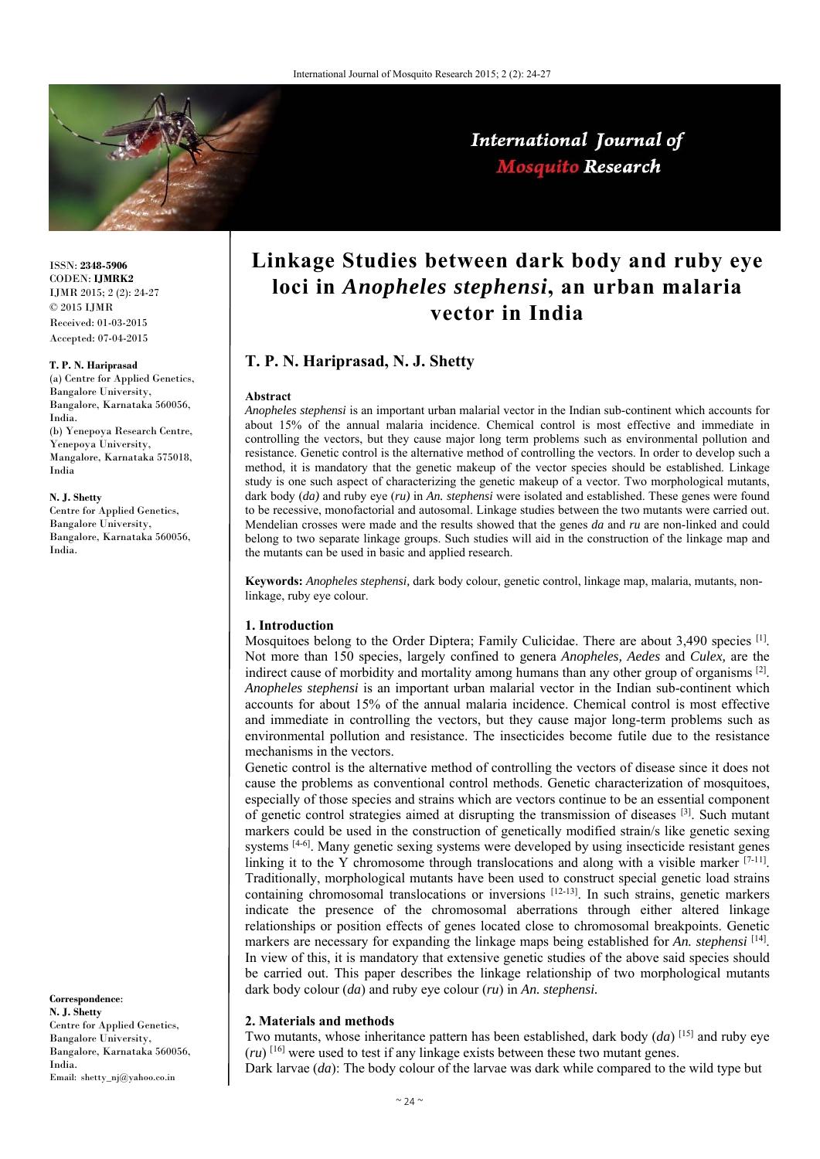

ISSN: **2348-5906** CODEN: **IJMRK2** IJMR 2015; 2 (2): 24-27 © 2015 IJMR Received: 01-03-2015 Accepted: 07-04-2015

### **T. P. N. Hariprasad**

(a) Centre for Applied Genetics, Bangalore University, Bangalore, Karnataka 560056, India. (b) Yenepoya Research Centre, Yenepoya University, Mangalore, Karnataka 575018, India

#### **N. J. Shetty**

Centre for Applied Genetics, Bangalore University, Bangalore, Karnataka 560056, India.

**Correspondence**: **N. J. Shetty**  Centre for Applied Genetics, Bangalore University, Bangalore, Karnataka 560056, India. Email: shetty\_nj@yahoo.co.in

# **Linkage Studies between dark body and ruby eye loci in** *Anopheles stephensi***, an urban malaria vector in India**

# **T. P. N. Hariprasad, N. J. Shetty**

### **Abstract**

*Anopheles stephensi* is an important urban malarial vector in the Indian sub-continent which accounts for about 15% of the annual malaria incidence. Chemical control is most effective and immediate in controlling the vectors, but they cause major long term problems such as environmental pollution and resistance. Genetic control is the alternative method of controlling the vectors. In order to develop such a method, it is mandatory that the genetic makeup of the vector species should be established. Linkage study is one such aspect of characterizing the genetic makeup of a vector. Two morphological mutants, dark body (*da)* and ruby eye (*ru)* in *An. stephensi* were isolated and established. These genes were found to be recessive, monofactorial and autosomal. Linkage studies between the two mutants were carried out. Mendelian crosses were made and the results showed that the genes *da* and *ru* are non-linked and could belong to two separate linkage groups. Such studies will aid in the construction of the linkage map and the mutants can be used in basic and applied research.

**Keywords:** *Anopheles stephensi,* dark body colour, genetic control, linkage map, malaria, mutants, nonlinkage, ruby eye colour.

### **1. Introduction**

Mosquitoes belong to the Order Diptera; Family Culicidae. There are about 3,490 species [1]. Not more than 150 species, largely confined to genera *Anopheles, Aedes* and *Culex,* are the indirect cause of morbidity and mortality among humans than any other group of organisms [2]. *Anopheles stephensi* is an important urban malarial vector in the Indian sub-continent which accounts for about 15% of the annual malaria incidence. Chemical control is most effective and immediate in controlling the vectors, but they cause major long-term problems such as environmental pollution and resistance. The insecticides become futile due to the resistance mechanisms in the vectors.

Genetic control is the alternative method of controlling the vectors of disease since it does not cause the problems as conventional control methods. Genetic characterization of mosquitoes, especially of those species and strains which are vectors continue to be an essential component of genetic control strategies aimed at disrupting the transmission of diseases [3]. Such mutant markers could be used in the construction of genetically modified strain/s like genetic sexing systems <sup>[4-6]</sup>. Many genetic sexing systems were developed by using insecticide resistant genes linking it to the Y chromosome through translocations and along with a visible marker  $[7-11]$ . Traditionally, morphological mutants have been used to construct special genetic load strains containing chromosomal translocations or inversions [12-13]. In such strains, genetic markers indicate the presence of the chromosomal aberrations through either altered linkage relationships or position effects of genes located close to chromosomal breakpoints. Genetic markers are necessary for expanding the linkage maps being established for *An. stephensi* [14]. In view of this, it is mandatory that extensive genetic studies of the above said species should be carried out. This paper describes the linkage relationship of two morphological mutants dark body colour (*da*) and ruby eye colour (*ru*) in *An. stephensi.*

### **2. Materials and methods**

Two mutants, whose inheritance pattern has been established, dark body (*da*) [15] and ruby eye (*ru*) [16] were used to test if any linkage exists between these two mutant genes.

Dark larvae (*da*): The body colour of the larvae was dark while compared to the wild type but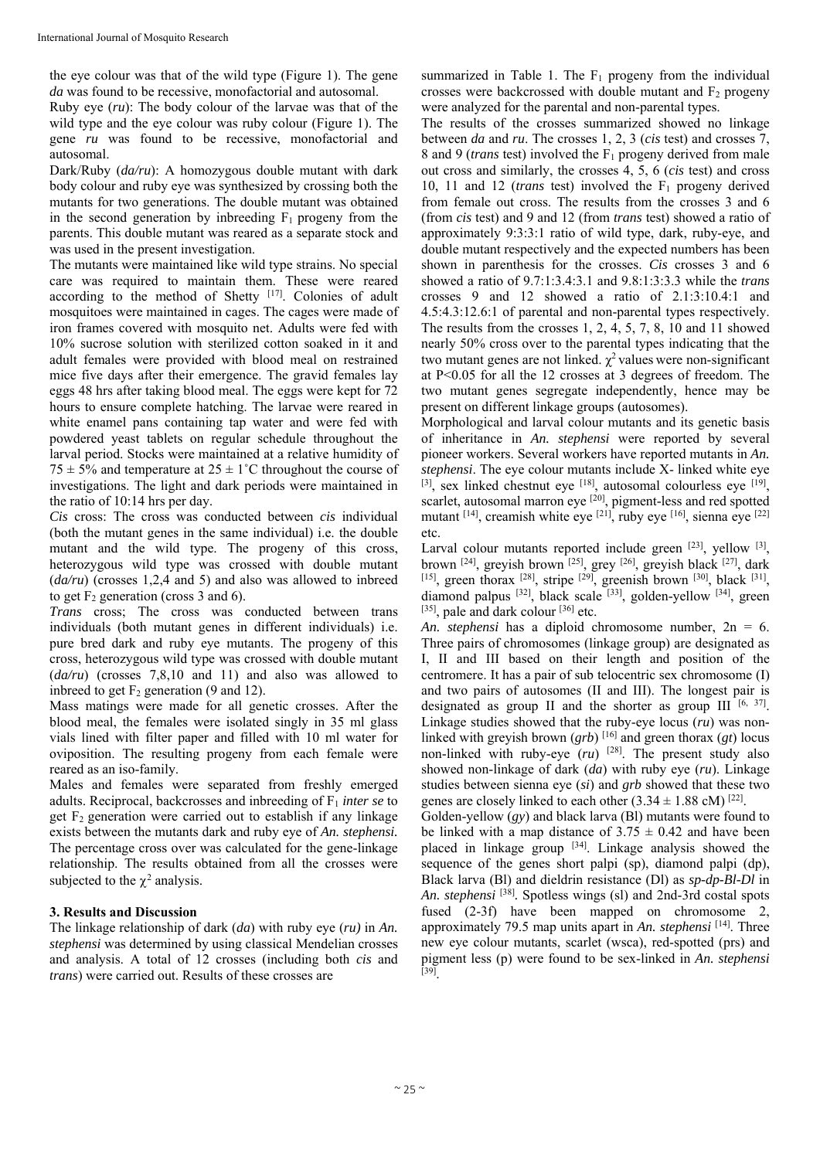the eye colour was that of the wild type (Figure 1). The gene *da* was found to be recessive, monofactorial and autosomal.

Ruby eye (*ru*): The body colour of the larvae was that of the wild type and the eye colour was ruby colour (Figure 1). The gene *ru* was found to be recessive, monofactorial and autosomal.

Dark/Ruby (*da/ru*): A homozygous double mutant with dark body colour and ruby eye was synthesized by crossing both the mutants for two generations. The double mutant was obtained in the second generation by inbreeding  $F_1$  progeny from the parents. This double mutant was reared as a separate stock and was used in the present investigation.

The mutants were maintained like wild type strains. No special care was required to maintain them. These were reared according to the method of Shetty [17]. Colonies of adult mosquitoes were maintained in cages. The cages were made of iron frames covered with mosquito net. Adults were fed with 10% sucrose solution with sterilized cotton soaked in it and adult females were provided with blood meal on restrained mice five days after their emergence. The gravid females lay eggs 48 hrs after taking blood meal. The eggs were kept for 72 hours to ensure complete hatching. The larvae were reared in white enamel pans containing tap water and were fed with powdered yeast tablets on regular schedule throughout the larval period. Stocks were maintained at a relative humidity of 75  $\pm$  5% and temperature at 25  $\pm$  1°C throughout the course of investigations. The light and dark periods were maintained in the ratio of 10:14 hrs per day.

*Cis* cross: The cross was conducted between *cis* individual (both the mutant genes in the same individual) i.e. the double mutant and the wild type. The progeny of this cross, heterozygous wild type was crossed with double mutant (*da/ru*) (crosses 1,2,4 and 5) and also was allowed to inbreed to get  $F_2$  generation (cross 3 and 6).

*Trans* cross; The cross was conducted between trans individuals (both mutant genes in different individuals) i.e. pure bred dark and ruby eye mutants. The progeny of this cross, heterozygous wild type was crossed with double mutant (*da/ru*) (crosses 7,8,10 and 11) and also was allowed to indread to get  $F_2$  generation (9 and 12).

Mass matings were made for all genetic crosses. After the blood meal, the females were isolated singly in 35 ml glass vials lined with filter paper and filled with 10 ml water for oviposition. The resulting progeny from each female were reared as an iso-family.

Males and females were separated from freshly emerged adults. Reciprocal, backcrosses and inbreeding of F1 *inter se* to get  $F_2$  generation were carried out to establish if any linkage exists between the mutants dark and ruby eye of *An. stephensi.* The percentage cross over was calculated for the gene-linkage relationship. The results obtained from all the crosses were subjected to the  $\chi^2$  analysis.

# **3. Results and Discussion**

The linkage relationship of dark (*da*) with ruby eye (*ru)* in *An. stephensi* was determined by using classical Mendelian crosses and analysis. A total of 12 crosses (including both *cis* and *trans*) were carried out. Results of these crosses are

summarized in Table 1. The  $F_1$  progeny from the individual crosses were backcrossed with double mutant and  $F_2$  progeny were analyzed for the parental and non-parental types.

The results of the crosses summarized showed no linkage between *da* and *ru*. The crosses 1, 2, 3 (*cis* test) and crosses 7, 8 and 9 (*trans* test) involved the F1 progeny derived from male out cross and similarly, the crosses 4, 5, 6 (*cis* test) and cross 10, 11 and 12 (*trans* test) involved the F1 progeny derived from female out cross. The results from the crosses 3 and 6 (from *cis* test) and 9 and 12 (from *trans* test) showed a ratio of approximately 9:3:3:1 ratio of wild type, dark, ruby-eye, and double mutant respectively and the expected numbers has been shown in parenthesis for the crosses. *Cis* crosses 3 and 6 showed a ratio of 9.7:1:3.4:3.1 and 9.8:1:3:3.3 while the *trans*  crosses 9 and 12 showed a ratio of 2.1:3:10.4:1 and 4.5:4.3:12.6:1 of parental and non-parental types respectively. The results from the crosses 1, 2, 4, 5, 7, 8, 10 and 11 showed nearly 50% cross over to the parental types indicating that the two mutant genes are not linked.  $\chi^2$  values were non-significant at P<0.05 for all the 12 crosses at 3 degrees of freedom. The two mutant genes segregate independently, hence may be present on different linkage groups (autosomes).

Morphological and larval colour mutants and its genetic basis of inheritance in *An. stephensi* were reported by several pioneer workers. Several workers have reported mutants in *An. stephensi*. The eye colour mutants include X- linked white eye  $[3]$ , sex linked chestnut eye  $[18]$ , autosomal colourless eye  $[19]$ , scarlet, autosomal marron eye <sup>[20]</sup>, pigment-less and red spotted mutant  $[14]$ , creamish white eye  $[21]$ , ruby eye  $[16]$ , sienna eye  $[22]$ etc.

Larval colour mutants reported include green  $[23]$ , yellow  $[3]$ , brown  $[24]$ , greyish brown  $[25]$ , grey  $[26]$ , greyish black  $[27]$ , dark [15], green thorax  $[28]$ , stripe  $[29]$ , greenish brown  $[30]$ , black  $[31]$ , diamond palpus  $[32]$ , black scale  $[33]$ , golden-yellow  $[34]$ , green  $[35]$ , pale and dark colour  $[36]$  etc.

*An. stephensi* has a diploid chromosome number, 2n = 6. Three pairs of chromosomes (linkage group) are designated as I, II and III based on their length and position of the centromere. It has a pair of sub telocentric sex chromosome (I) and two pairs of autosomes (II and III). The longest pair is designated as group II and the shorter as group III  $[6, 37]$ . Linkage studies showed that the ruby-eye locus (*ru*) was nonlinked with greyish brown  $(grb)$  <sup>[16]</sup> and green thorax  $(gt)$  locus non-linked with ruby-eye  $(ru)$  <sup>[28]</sup>. The present study also showed non-linkage of dark (*da*) with ruby eye (*ru*). Linkage studies between sienna eye (*si*) and *grb* showed that these two genes are closely linked to each other  $(3.34 \pm 1.88 \text{ cM})^{[22]}$ .

Golden-yellow (*gy*) and black larva (Bl) mutants were found to be linked with a map distance of  $3.75 \pm 0.42$  and have been placed in linkage group [34]. Linkage analysis showed the sequence of the genes short palpi (sp), diamond palpi (dp), Black larva (Bl) and dieldrin resistance (Dl) as *sp-dp-Bl-Dl* in *An. stephensi* [38]*.* Spotless wings (sl) and 2nd-3rd costal spots fused (2-3f) have been mapped on chromosome 2, approximately 79.5 map units apart in *An. stephensi* [14]. Three new eye colour mutants, scarlet (wsca), red-spotted (prs) and pigment less (p) were found to be sex-linked in *An. stephensi*   $[39]$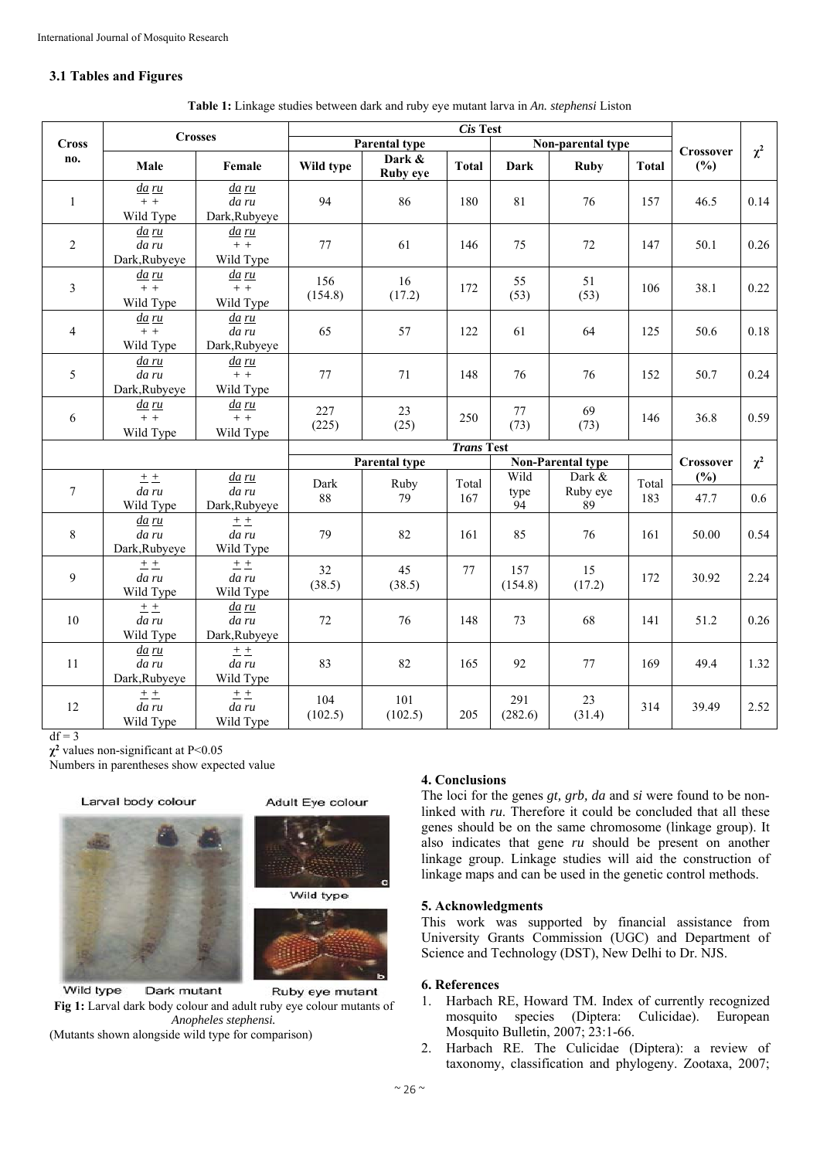# **3.1 Tables and Figures**

| <b>Cross</b><br>no.     | <b>Crosses</b>                         |                                    | $\overline{Cis}$ Test |                    |                          |                    |                          |              |             |      |
|-------------------------|----------------------------------------|------------------------------------|-----------------------|--------------------|--------------------------|--------------------|--------------------------|--------------|-------------|------|
|                         |                                        |                                    | <b>Parental type</b>  |                    | Non-parental type        |                    |                          | Crossover    | $\chi^2$    |      |
|                         | Male                                   | Female                             | Wild type             | Dark &<br>Ruby eye | <b>Total</b>             | <b>Dark</b>        | <b>Ruby</b>              | <b>Total</b> | (%)         |      |
| $\mathbf{1}$            | <u>da ru</u><br>$+ +$<br>Wild Type     | da ru<br>da ru<br>Dark, Rubyeye    | 94                    | 86                 | 180                      | 81                 | 76                       | 157          | 46.5        | 0.14 |
| $\overline{2}$          | <u>da ru</u><br>da ru<br>Dark, Rubyeye | <u>da ru</u><br>$+ +$<br>Wild Type | 77                    | 61                 | 146                      | 75                 | 72                       | 147          | 50.1        | 0.26 |
| $\overline{\mathbf{3}}$ | <u>da ru</u><br>$+ +$<br>Wild Type     | <u>da ru</u><br>$+ +$<br>Wild Type | 156<br>(154.8)        | 16<br>(17.2)       | 172                      | 55<br>(53)         | 51<br>(53)               | 106          | 38.1        | 0.22 |
| $\overline{4}$          | <u>da ru</u><br>$+ +$<br>Wild Type     | da ru<br>da ru<br>Dark, Rubyeye    | 65                    | 57                 | 122                      | 61                 | 64                       | 125          | 50.6        | 0.18 |
| 5                       | da ru<br>da ru<br>Dark, Rubyeye        | <u>da ru</u><br>$+ +$<br>Wild Type | 77                    | 71                 | 148                      | 76                 | 76                       | 152          | 50.7        | 0.24 |
| 6                       | <u>da ru</u><br>$+ +$<br>Wild Type     | <u>da ru</u><br>$+ +$<br>Wild Type | 227<br>(225)          | 23<br>(25)         | 250                      | 77<br>(73)         | 69<br>(73)               | 146          | 36.8        | 0.59 |
|                         |                                        |                                    | <b>Trans Test</b>     |                    |                          |                    |                          |              |             |      |
|                         |                                        |                                    | Parental type         |                    | <b>Non-Parental type</b> |                    |                          | Crossover    | $\chi^2$    |      |
| $\tau$                  | ± ±<br>da ru<br>Wild Type              | da ru<br>da ru<br>Dark, Rubyeye    | Dark<br>88            | Ruby<br>79         | Total<br>167             | Wild<br>type<br>94 | Dark &<br>Ruby eye<br>89 | Total<br>183 | (%)<br>47.7 | 0.6  |
| 8                       | <u>da ru</u><br>da ru<br>Dark, Rubyeye | 土土<br>da ru<br>Wild Type           | 79                    | 82                 | 161                      | 85                 | 76                       | 161          | 50.00       | 0.54 |
| 9                       | $+ +$<br>da ru<br>Wild Type            | $+ +$<br>da ru<br>Wild Type        | 32<br>(38.5)          | 45<br>(38.5)       | 77                       | 157<br>(154.8)     | 15<br>(17.2)             | 172          | 30.92       | 2.24 |
| 10                      | ±±<br>da ru<br>Wild Type               | da ru<br>da ru<br>Dark, Rubyeye    | 72                    | 76                 | 148                      | 73                 | 68                       | 141          | 51.2        | 0.26 |
| 11                      | <u>da ru</u><br>da ru<br>Dark, Rubyeye | ± ±<br>da ru<br>Wild Type          | 83                    | 82                 | 165                      | 92                 | 77                       | 169          | 49.4        | 1.32 |
| 12                      | ± ±<br>da ru<br>Wild Type              | ± ±<br>da ru<br>Wild Type          | 104<br>(102.5)        | 101<br>(102.5)     | 205                      | 291<br>(282.6)     | 23<br>(31.4)             | 314          | 39.49       | 2.52 |

 $df = 3$ 

**χ<sup>2</sup>** values non-significant at P<0.05

Numbers in parentheses show expected value

#### Larval body colour







Wild type Dark mutant Ruby eye mutant **Fig 1:** Larval dark body colour and adult ruby eye colour mutants of *Anopheles stephensi.* (Mutants shown alongside wild type for comparison)

# **4. Conclusions**

The loci for the genes *gt, grb, da* and *si* were found to be nonlinked with *ru*. Therefore it could be concluded that all these genes should be on the same chromosome (linkage group). It also indicates that gene *ru* should be present on another linkage group. Linkage studies will aid the construction of linkage maps and can be used in the genetic control methods.

### **5. Acknowledgments**

This work was supported by financial assistance from University Grants Commission (UGC) and Department of Science and Technology (DST), New Delhi to Dr. NJS.

## **6. References**

- 1. Harbach RE, Howard TM. Index of currently recognized mosquito species (Diptera: Culicidae). European Mosquito Bulletin, 2007; 23:1-66.
- 2. Harbach RE. The Culicidae (Diptera): a review of taxonomy, classification and phylogeny. Zootaxa, 2007;